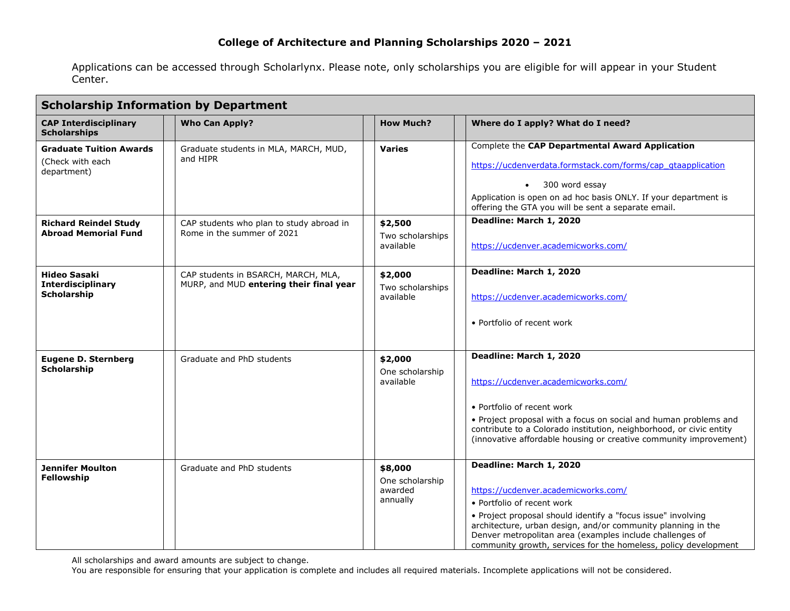Applications can be accessed through Scholarlynx. Please note, only scholarships you are eligible for will appear in your Student Center.

| <b>Scholarship Information by Department</b>                                                                                     |                                                                                                                             |                                                       |                                                                                                                                                                                                                                                                                                                                                             |  |  |  |
|----------------------------------------------------------------------------------------------------------------------------------|-----------------------------------------------------------------------------------------------------------------------------|-------------------------------------------------------|-------------------------------------------------------------------------------------------------------------------------------------------------------------------------------------------------------------------------------------------------------------------------------------------------------------------------------------------------------------|--|--|--|
| <b>CAP Interdisciplinary</b><br><b>Scholarships</b>                                                                              | <b>Who Can Apply?</b>                                                                                                       | <b>How Much?</b>                                      | Where do I apply? What do I need?                                                                                                                                                                                                                                                                                                                           |  |  |  |
| <b>Graduate Tuition Awards</b><br>(Check with each<br>department)<br><b>Richard Reindel Study</b><br><b>Abroad Memorial Fund</b> | Graduate students in MLA, MARCH, MUD,<br>and HIPR<br>CAP students who plan to study abroad in<br>Rome in the summer of 2021 | <b>Varies</b><br>\$2,500<br>Two scholarships          | Complete the CAP Departmental Award Application<br>https://ucdenverdata.formstack.com/forms/cap_gtaapplication<br>300 word essay<br>Application is open on ad hoc basis ONLY. If your department is<br>offering the GTA you will be sent a separate email.<br>Deadline: March 1, 2020                                                                       |  |  |  |
| <b>Hideo Sasaki</b><br><b>Interdisciplinary</b><br>Scholarship                                                                   | CAP students in BSARCH, MARCH, MLA,<br>MURP, and MUD entering their final year                                              | available<br>\$2,000<br>Two scholarships<br>available | https://ucdenver.academicworks.com/<br>Deadline: March 1, 2020<br>https://ucdenver.academicworks.com/<br>• Portfolio of recent work                                                                                                                                                                                                                         |  |  |  |
| <b>Eugene D. Sternberg</b><br><b>Scholarship</b>                                                                                 | Graduate and PhD students                                                                                                   | \$2,000<br>One scholarship<br>available               | Deadline: March 1, 2020<br>https://ucdenver.academicworks.com/<br>• Portfolio of recent work<br>. Project proposal with a focus on social and human problems and<br>contribute to a Colorado institution, neighborhood, or civic entity<br>(innovative affordable housing or creative community improvement)                                                |  |  |  |
| <b>Jennifer Moulton</b><br><b>Fellowship</b>                                                                                     | Graduate and PhD students                                                                                                   | \$8,000<br>One scholarship<br>awarded<br>annually     | Deadline: March 1, 2020<br>https://ucdenver.academicworks.com/<br>• Portfolio of recent work<br>• Project proposal should identify a "focus issue" involving<br>architecture, urban design, and/or community planning in the<br>Denver metropolitan area (examples include challenges of<br>community growth, services for the homeless, policy development |  |  |  |

All scholarships and award amounts are subject to change.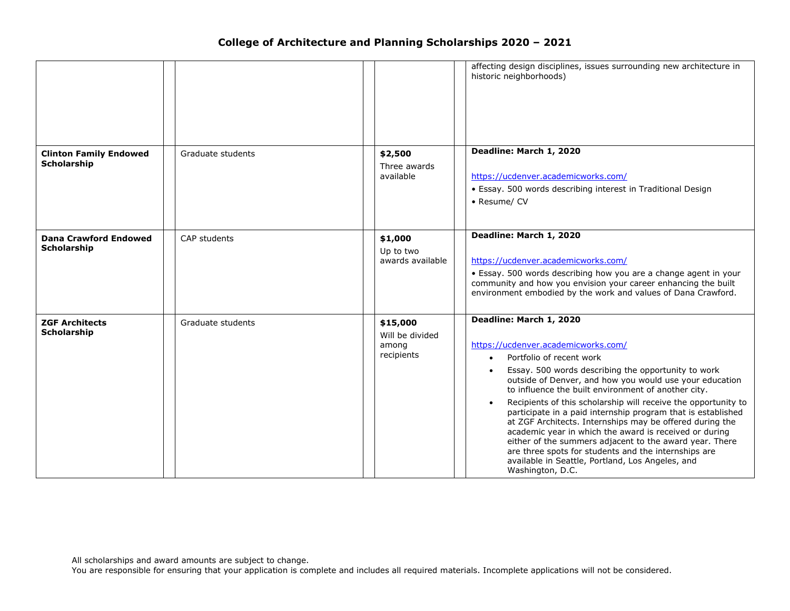|                                              |                   | historic neighborhoods)                                                                    | affecting design disciplines, issues surrounding new architecture in                                                                                                                                                                                                                                                                                                                                                                                                                                                                                                                                                                                                                        |
|----------------------------------------------|-------------------|--------------------------------------------------------------------------------------------|---------------------------------------------------------------------------------------------------------------------------------------------------------------------------------------------------------------------------------------------------------------------------------------------------------------------------------------------------------------------------------------------------------------------------------------------------------------------------------------------------------------------------------------------------------------------------------------------------------------------------------------------------------------------------------------------|
| <b>Clinton Family Endowed</b><br>Scholarship | Graduate students | Deadline: March 1, 2020<br>\$2,500<br>Three awards<br>available<br>• Resume/ CV            | https://ucdenver.academicworks.com/<br>• Essay. 500 words describing interest in Traditional Design                                                                                                                                                                                                                                                                                                                                                                                                                                                                                                                                                                                         |
| <b>Dana Crawford Endowed</b><br>Scholarship  | CAP students      | Deadline: March 1, 2020<br>\$1,000<br>Up to two<br>awards available                        | https://ucdenver.academicworks.com/<br>• Essay. 500 words describing how you are a change agent in your<br>community and how you envision your career enhancing the built<br>environment embodied by the work and values of Dana Crawford.                                                                                                                                                                                                                                                                                                                                                                                                                                                  |
| <b>ZGF Architects</b><br>Scholarship         | Graduate students | Deadline: March 1, 2020<br>\$15,000<br>Will be divided<br>among<br>recipients<br>$\bullet$ | https://ucdenver.academicworks.com/<br>Portfolio of recent work<br>Essay. 500 words describing the opportunity to work<br>outside of Denver, and how you would use your education<br>to influence the built environment of another city.<br>Recipients of this scholarship will receive the opportunity to<br>participate in a paid internship program that is established<br>at ZGF Architects. Internships may be offered during the<br>academic year in which the award is received or during<br>either of the summers adjacent to the award year. There<br>are three spots for students and the internships are<br>available in Seattle, Portland, Los Angeles, and<br>Washington, D.C. |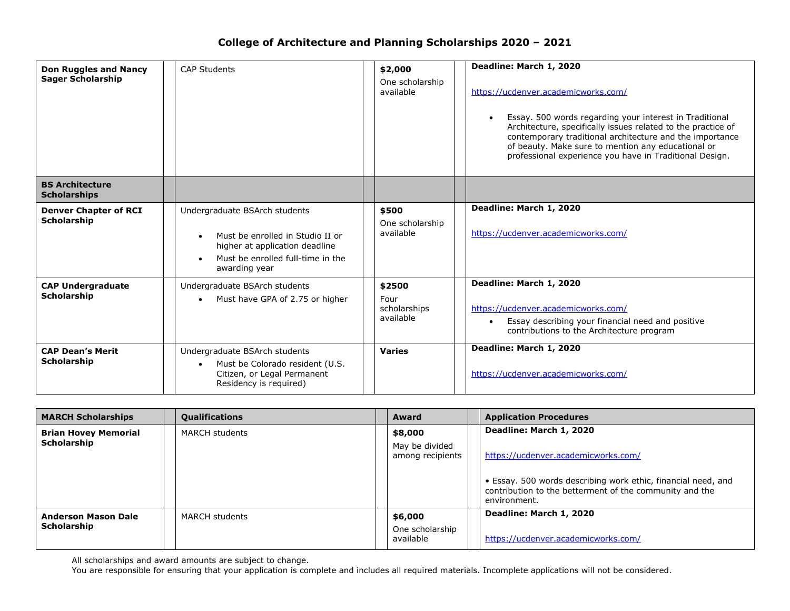| <b>Don Ruggles and Nancy</b><br><b>Sager Scholarship</b> | <b>CAP Students</b>                                                                                                                                       | \$2,000<br>One scholarship<br>available     | Deadline: March 1, 2020<br>https://ucdenver.academicworks.com/<br>Essay. 500 words regarding your interest in Traditional<br>$\bullet$<br>Architecture, specifically issues related to the practice of<br>contemporary traditional architecture and the importance<br>of beauty. Make sure to mention any educational or<br>professional experience you have in Traditional Design. |
|----------------------------------------------------------|-----------------------------------------------------------------------------------------------------------------------------------------------------------|---------------------------------------------|-------------------------------------------------------------------------------------------------------------------------------------------------------------------------------------------------------------------------------------------------------------------------------------------------------------------------------------------------------------------------------------|
| <b>BS Architecture</b><br><b>Scholarships</b>            |                                                                                                                                                           |                                             |                                                                                                                                                                                                                                                                                                                                                                                     |
| <b>Denver Chapter of RCI</b><br><b>Scholarship</b>       | Undergraduate BSArch students<br>Must be enrolled in Studio II or<br>higher at application deadline<br>Must be enrolled full-time in the<br>awarding year | \$500<br>One scholarship<br>available       | Deadline: March 1, 2020<br>https://ucdenver.academicworks.com/                                                                                                                                                                                                                                                                                                                      |
| <b>CAP Undergraduate</b><br><b>Scholarship</b>           | Undergraduate BSArch students<br>Must have GPA of 2.75 or higher                                                                                          | \$2500<br>Four<br>scholarships<br>available | Deadline: March 1, 2020<br>https://ucdenver.academicworks.com/<br>Essay describing your financial need and positive<br>$\bullet$<br>contributions to the Architecture program                                                                                                                                                                                                       |
| <b>CAP Dean's Merit</b><br>Scholarship                   | Undergraduate BSArch students<br>Must be Colorado resident (U.S.<br>Citizen, or Legal Permanent<br>Residency is required)                                 | <b>Varies</b>                               | Deadline: March 1, 2020<br>https://ucdenver.academicworks.com/                                                                                                                                                                                                                                                                                                                      |

| <b>MARCH Scholarships</b>                  | <b>Qualifications</b> | Award                                         | <b>Application Procedures</b>                                                                                                            |
|--------------------------------------------|-----------------------|-----------------------------------------------|------------------------------------------------------------------------------------------------------------------------------------------|
| <b>Brian Hovey Memorial</b><br>Scholarship | <b>MARCH students</b> | \$8,000<br>May be divided<br>among recipients | Deadline: March 1, 2020<br>https://ucdenver.academicworks.com/                                                                           |
|                                            |                       |                                               | • Essay. 500 words describing work ethic, financial need, and<br>contribution to the betterment of the community and the<br>environment. |
| <b>Anderson Mason Dale</b><br>Scholarship  | <b>MARCH students</b> | \$6,000<br>One scholarship<br>available       | Deadline: March 1, 2020<br>https://ucdenver.academicworks.com/                                                                           |

All scholarships and award amounts are subject to change.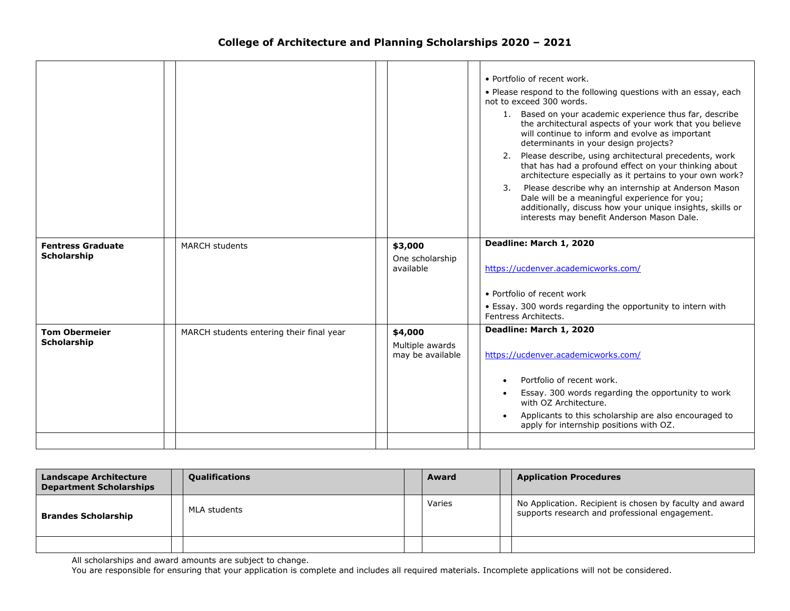|                                            |                                          |                                                | • Portfolio of recent work.<br>• Please respond to the following questions with an essay, each<br>not to exceed 300 words.<br>1. Based on your academic experience thus far, describe<br>the architectural aspects of your work that you believe<br>will continue to inform and evolve as important<br>determinants in your design projects?<br>2. Please describe, using architectural precedents, work<br>that has had a profound effect on your thinking about<br>architecture especially as it pertains to your own work?<br>Please describe why an internship at Anderson Mason<br>3.<br>Dale will be a meaningful experience for you;<br>additionally, discuss how your unique insights, skills or<br>interests may benefit Anderson Mason Dale. |
|--------------------------------------------|------------------------------------------|------------------------------------------------|--------------------------------------------------------------------------------------------------------------------------------------------------------------------------------------------------------------------------------------------------------------------------------------------------------------------------------------------------------------------------------------------------------------------------------------------------------------------------------------------------------------------------------------------------------------------------------------------------------------------------------------------------------------------------------------------------------------------------------------------------------|
| <b>Fentress Graduate</b><br>Scholarship    | <b>MARCH students</b>                    | \$3,000<br>One scholarship<br>available        | Deadline: March 1, 2020<br>https://ucdenver.academicworks.com/                                                                                                                                                                                                                                                                                                                                                                                                                                                                                                                                                                                                                                                                                         |
|                                            |                                          |                                                | • Portfolio of recent work                                                                                                                                                                                                                                                                                                                                                                                                                                                                                                                                                                                                                                                                                                                             |
|                                            |                                          |                                                | • Essay. 300 words regarding the opportunity to intern with<br>Fentress Architects.                                                                                                                                                                                                                                                                                                                                                                                                                                                                                                                                                                                                                                                                    |
| <b>Tom Obermeier</b><br><b>Scholarship</b> | MARCH students entering their final year | \$4,000<br>Multiple awards<br>may be available | Deadline: March 1, 2020<br>https://ucdenver.academicworks.com/                                                                                                                                                                                                                                                                                                                                                                                                                                                                                                                                                                                                                                                                                         |
|                                            |                                          |                                                |                                                                                                                                                                                                                                                                                                                                                                                                                                                                                                                                                                                                                                                                                                                                                        |
|                                            |                                          |                                                | Portfolio of recent work.<br>Essay. 300 words regarding the opportunity to work                                                                                                                                                                                                                                                                                                                                                                                                                                                                                                                                                                                                                                                                        |
|                                            |                                          |                                                | with OZ Architecture.                                                                                                                                                                                                                                                                                                                                                                                                                                                                                                                                                                                                                                                                                                                                  |
|                                            |                                          |                                                | Applicants to this scholarship are also encouraged to<br>apply for internship positions with OZ.                                                                                                                                                                                                                                                                                                                                                                                                                                                                                                                                                                                                                                                       |
|                                            |                                          |                                                |                                                                                                                                                                                                                                                                                                                                                                                                                                                                                                                                                                                                                                                                                                                                                        |

| <b>Landscape Architecture</b><br><b>Department Scholarships</b> | <b>Qualifications</b> | Award  | <b>Application Procedures</b>                                                                              |
|-----------------------------------------------------------------|-----------------------|--------|------------------------------------------------------------------------------------------------------------|
| <b>Brandes Scholarship</b>                                      | MLA students          | Varies | No Application. Recipient is chosen by faculty and award<br>supports research and professional engagement. |
|                                                                 |                       |        |                                                                                                            |

All scholarships and award amounts are subject to change.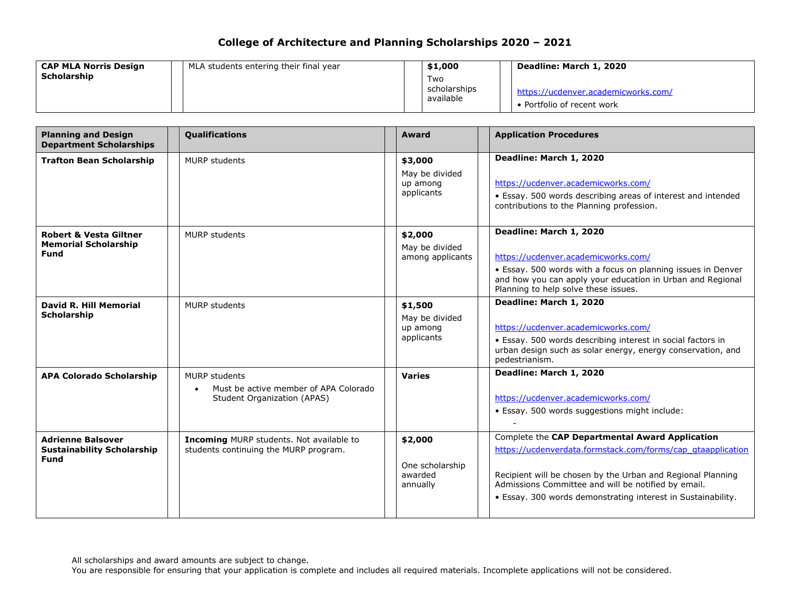| <b>CAP MLA Norris Design</b> | MLA students entering their final year | \$1,000                          | Deadline: March 1, 2020                                           |
|------------------------------|----------------------------------------|----------------------------------|-------------------------------------------------------------------|
| <b>Scholarship</b>           |                                        | Two<br>scholarships<br>available | https://ucdenver.academicworks.com/<br>• Portfolio of recent work |

| <b>Planning and Design</b><br><b>Department Scholarships</b>                    | Qualifications                                                                               | <b>Award</b>                                        | <b>Application Procedures</b>                                                                                                                                                                                                                                                                        |
|---------------------------------------------------------------------------------|----------------------------------------------------------------------------------------------|-----------------------------------------------------|------------------------------------------------------------------------------------------------------------------------------------------------------------------------------------------------------------------------------------------------------------------------------------------------------|
| <b>Trafton Bean Scholarship</b>                                                 | <b>MURP</b> students                                                                         | \$3,000<br>May be divided<br>up among<br>applicants | Deadline: March 1, 2020<br>https://ucdenver.academicworks.com/<br>• Essay. 500 words describing areas of interest and intended<br>contributions to the Planning profession.                                                                                                                          |
| <b>Robert &amp; Vesta Giltner</b><br><b>Memorial Scholarship</b><br><b>Fund</b> | <b>MURP</b> students                                                                         | \$2,000<br>May be divided<br>among applicants       | Deadline: March 1, 2020<br>https://ucdenver.academicworks.com/<br>• Essay. 500 words with a focus on planning issues in Denver<br>and how you can apply your education in Urban and Regional<br>Planning to help solve these issues.                                                                 |
| <b>David R. Hill Memorial</b><br><b>Scholarship</b>                             | <b>MURP</b> students                                                                         | \$1,500<br>May be divided<br>up among<br>applicants | Deadline: March 1, 2020<br>https://ucdenver.academicworks.com/<br>• Essay. 500 words describing interest in social factors in<br>urban design such as solar energy, energy conservation, and<br>pedestrianism.                                                                                       |
| <b>APA Colorado Scholarship</b>                                                 | MURP students<br>Must be active member of APA Colorado<br><b>Student Organization (APAS)</b> | <b>Varies</b>                                       | Deadline: March 1, 2020<br>https://ucdenver.academicworks.com/<br>· Essay. 500 words suggestions might include:                                                                                                                                                                                      |
| <b>Adrienne Balsover</b><br><b>Sustainability Scholarship</b><br><b>Fund</b>    | <b>Incoming MURP students. Not available to</b><br>students continuing the MURP program.     | \$2,000<br>One scholarship<br>awarded<br>annually   | Complete the CAP Departmental Award Application<br>https://ucdenverdata.formstack.com/forms/cap_qtaapplication<br>Recipient will be chosen by the Urban and Regional Planning<br>Admissions Committee and will be notified by email.<br>• Essay. 300 words demonstrating interest in Sustainability. |

All scholarships and award amounts are subject to change.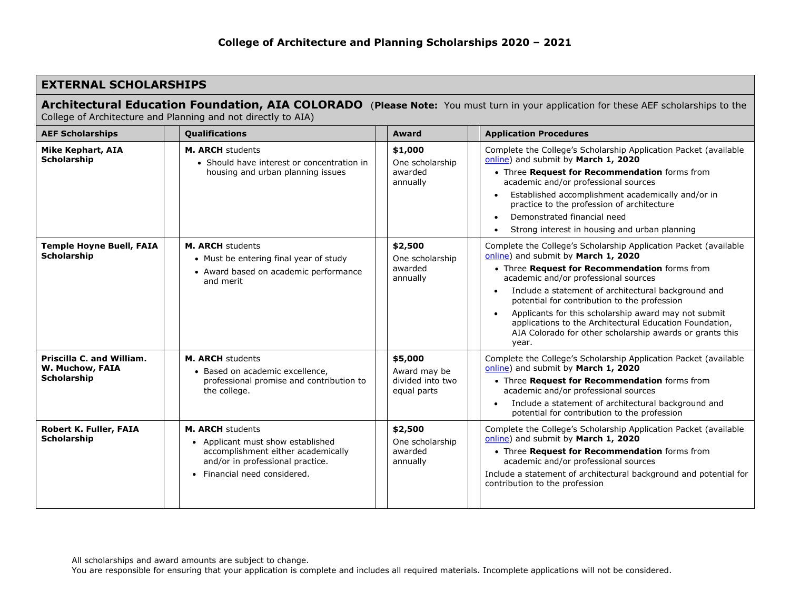| <b>EXTERNAL SCHOLARSHIPS</b>                                                                                                                                                                        |                                                                                                                                                                 |                                                            |                                                                                                                                                                                                                                                                                                                                                                                                                                                                                                 |  |  |  |  |
|-----------------------------------------------------------------------------------------------------------------------------------------------------------------------------------------------------|-----------------------------------------------------------------------------------------------------------------------------------------------------------------|------------------------------------------------------------|-------------------------------------------------------------------------------------------------------------------------------------------------------------------------------------------------------------------------------------------------------------------------------------------------------------------------------------------------------------------------------------------------------------------------------------------------------------------------------------------------|--|--|--|--|
| Architectural Education Foundation, AIA COLORADO (Please Note: You must turn in your application for these AEF scholarships to the<br>College of Architecture and Planning and not directly to AIA) |                                                                                                                                                                 |                                                            |                                                                                                                                                                                                                                                                                                                                                                                                                                                                                                 |  |  |  |  |
| <b>AEF Scholarships</b>                                                                                                                                                                             | Qualifications                                                                                                                                                  | Award                                                      | <b>Application Procedures</b>                                                                                                                                                                                                                                                                                                                                                                                                                                                                   |  |  |  |  |
| <b>Mike Kephart, AIA</b><br>Scholarship                                                                                                                                                             | <b>M. ARCH students</b><br>• Should have interest or concentration in<br>housing and urban planning issues                                                      | \$1,000<br>One scholarship<br>awarded<br>annually          | Complete the College's Scholarship Application Packet (available<br>online) and submit by March 1, 2020<br>• Three Request for Recommendation forms from<br>academic and/or professional sources<br>Established accomplishment academically and/or in<br>practice to the profession of architecture<br>Demonstrated financial need<br>$\bullet$<br>Strong interest in housing and urban planning                                                                                                |  |  |  |  |
| <b>Temple Hoyne Buell, FAIA</b><br><b>Scholarship</b>                                                                                                                                               | M. ARCH students<br>• Must be entering final year of study<br>• Award based on academic performance<br>and merit                                                | \$2,500<br>One scholarship<br>awarded<br>annually          | Complete the College's Scholarship Application Packet (available<br>online) and submit by March 1, 2020<br>• Three Request for Recommendation forms from<br>academic and/or professional sources<br>Include a statement of architectural background and<br>potential for contribution to the profession<br>Applicants for this scholarship award may not submit<br>applications to the Architectural Education Foundation,<br>AIA Colorado for other scholarship awards or grants this<br>year. |  |  |  |  |
| Priscilla C. and William.<br>W. Muchow, FAIA<br><b>Scholarship</b>                                                                                                                                  | <b>M. ARCH students</b><br>· Based on academic excellence,<br>professional promise and contribution to<br>the college.                                          | \$5,000<br>Award may be<br>divided into two<br>equal parts | Complete the College's Scholarship Application Packet (available<br>online) and submit by March 1, 2020<br>• Three Request for Recommendation forms from<br>academic and/or professional sources<br>Include a statement of architectural background and<br>$\bullet$<br>potential for contribution to the profession                                                                                                                                                                            |  |  |  |  |
| Robert K. Fuller, FAIA<br><b>Scholarship</b>                                                                                                                                                        | M. ARCH students<br>• Applicant must show established<br>accomplishment either academically<br>and/or in professional practice.<br>• Financial need considered. | \$2,500<br>One scholarship<br>awarded<br>annually          | Complete the College's Scholarship Application Packet (available<br>online) and submit by March 1, 2020<br>• Three Request for Recommendation forms from<br>academic and/or professional sources<br>Include a statement of architectural background and potential for<br>contribution to the profession                                                                                                                                                                                         |  |  |  |  |

All scholarships and award amounts are subject to change.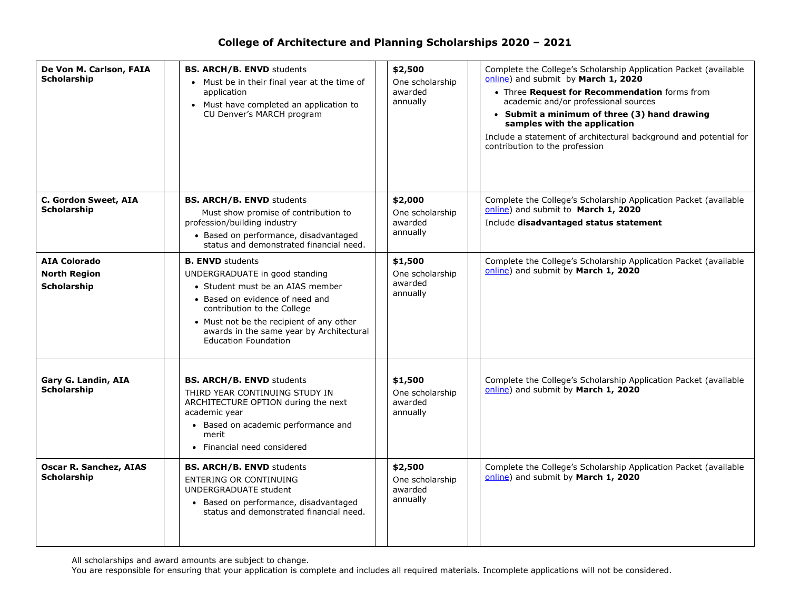| De Von M. Carlson, FAIA<br><b>Scholarship</b>             | <b>BS. ARCH/B. ENVD students</b><br>• Must be in their final year at the time of<br>application<br>• Must have completed an application to<br>CU Denver's MARCH program                                                                                                                | \$2,500<br>One scholarship<br>awarded<br>annually | Complete the College's Scholarship Application Packet (available<br>online) and submit by March 1, 2020<br>• Three Request for Recommendation forms from<br>academic and/or professional sources<br>• Submit a minimum of three (3) hand drawing<br>samples with the application<br>Include a statement of architectural background and potential for<br>contribution to the profession |
|-----------------------------------------------------------|----------------------------------------------------------------------------------------------------------------------------------------------------------------------------------------------------------------------------------------------------------------------------------------|---------------------------------------------------|-----------------------------------------------------------------------------------------------------------------------------------------------------------------------------------------------------------------------------------------------------------------------------------------------------------------------------------------------------------------------------------------|
| C. Gordon Sweet, AIA<br>Scholarship                       | <b>BS. ARCH/B. ENVD students</b><br>Must show promise of contribution to<br>profession/building industry<br>• Based on performance, disadvantaged<br>status and demonstrated financial need.                                                                                           | \$2,000<br>One scholarship<br>awarded<br>annually | Complete the College's Scholarship Application Packet (available<br>online) and submit to March 1, 2020<br>Include disadvantaged status statement                                                                                                                                                                                                                                       |
| <b>AIA Colorado</b><br><b>North Region</b><br>Scholarship | <b>B. ENVD</b> students<br>UNDERGRADUATE in good standing<br>• Student must be an AIAS member<br>• Based on evidence of need and<br>contribution to the College<br>• Must not be the recipient of any other<br>awards in the same year by Architectural<br><b>Education Foundation</b> | \$1,500<br>One scholarship<br>awarded<br>annually | Complete the College's Scholarship Application Packet (available<br>online) and submit by March 1, 2020                                                                                                                                                                                                                                                                                 |
| Gary G. Landin, AIA<br>Scholarship                        | <b>BS. ARCH/B. ENVD students</b><br>THIRD YEAR CONTINUING STUDY IN<br>ARCHITECTURE OPTION during the next<br>academic year<br>• Based on academic performance and<br>merit<br>• Financial need considered                                                                              | \$1,500<br>One scholarship<br>awarded<br>annually | Complete the College's Scholarship Application Packet (available<br>online) and submit by March 1, 2020                                                                                                                                                                                                                                                                                 |
| <b>Oscar R. Sanchez, AIAS</b><br><b>Scholarship</b>       | <b>BS. ARCH/B. ENVD students</b><br><b>ENTERING OR CONTINUING</b><br><b>UNDERGRADUATE student</b><br>• Based on performance, disadvantaged<br>status and demonstrated financial need.                                                                                                  | \$2,500<br>One scholarship<br>awarded<br>annually | Complete the College's Scholarship Application Packet (available<br>online) and submit by March 1, 2020                                                                                                                                                                                                                                                                                 |

All scholarships and award amounts are subject to change.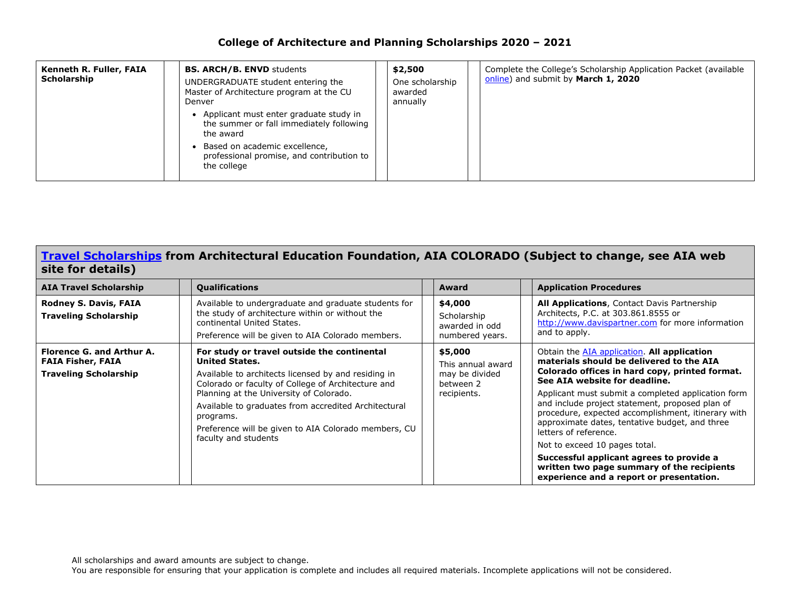| Kenneth R. Fuller, FAIA<br>Scholarship | <b>BS. ARCH/B. ENVD students</b><br>UNDERGRADUATE student entering the<br>Master of Architecture program at the CU<br>Denver<br>• Applicant must enter graduate study in<br>the summer or fall immediately following<br>the award<br>Based on academic excellence,<br>professional promise, and contribution to<br>the college | \$2,500<br>One scholarship<br>awarded<br>annually | Complete the College's Scholarship Application Packet (available<br>online) and submit by March 1, 2020 |
|----------------------------------------|--------------------------------------------------------------------------------------------------------------------------------------------------------------------------------------------------------------------------------------------------------------------------------------------------------------------------------|---------------------------------------------------|---------------------------------------------------------------------------------------------------------|
|                                        |                                                                                                                                                                                                                                                                                                                                |                                                   |                                                                                                         |

#### **[Travel Scholarships](http://www.aiacolorado.org/resources/scholarships-grants.php) from Architectural Education Foundation, AIA COLORADO (Subject to change, see AIA web site for details)**

| <b>AIA Travel Scholarship</b>                                                         | <b>Qualifications</b>                                                                                                                                                                                                                                                                                                                                                             | Award                                                                      | <b>Application Procedures</b>                                                                                                                                                                                                                                                                                                                                                                                                                                                                                                                                                                      |
|---------------------------------------------------------------------------------------|-----------------------------------------------------------------------------------------------------------------------------------------------------------------------------------------------------------------------------------------------------------------------------------------------------------------------------------------------------------------------------------|----------------------------------------------------------------------------|----------------------------------------------------------------------------------------------------------------------------------------------------------------------------------------------------------------------------------------------------------------------------------------------------------------------------------------------------------------------------------------------------------------------------------------------------------------------------------------------------------------------------------------------------------------------------------------------------|
| <b>Rodney S. Davis, FAIA</b><br><b>Traveling Scholarship</b>                          | Available to undergraduate and graduate students for<br>the study of architecture within or without the<br>continental United States.<br>Preference will be given to AIA Colorado members.                                                                                                                                                                                        | \$4,000<br>Scholarship<br>awarded in odd<br>numbered years.                | All Applications, Contact Davis Partnership<br>Architects, P.C. at 303.861.8555 or<br>http://www.davispartner.com for more information<br>and to apply.                                                                                                                                                                                                                                                                                                                                                                                                                                            |
| Florence G. and Arthur A.<br><b>FAIA Fisher, FAIA</b><br><b>Traveling Scholarship</b> | For study or travel outside the continental<br><b>United States.</b><br>Available to architects licensed by and residing in<br>Colorado or faculty of College of Architecture and<br>Planning at the University of Colorado.<br>Available to graduates from accredited Architectural<br>programs.<br>Preference will be given to AIA Colorado members, CU<br>faculty and students | \$5,000<br>This annual award<br>may be divided<br>between 2<br>recipients. | Obtain the <b>AIA</b> application. All application<br>materials should be delivered to the AIA<br>Colorado offices in hard copy, printed format.<br>See AIA website for deadline.<br>Applicant must submit a completed application form<br>and include project statement, proposed plan of<br>procedure, expected accomplishment, itinerary with<br>approximate dates, tentative budget, and three<br>letters of reference.<br>Not to exceed 10 pages total.<br>Successful applicant agrees to provide a<br>written two page summary of the recipients<br>experience and a report or presentation. |

All scholarships and award amounts are subject to change.